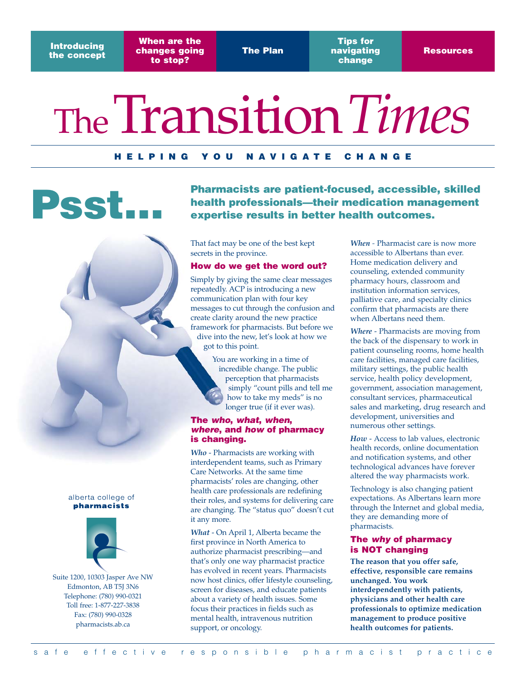**Introducing the concept**

**When are the changes going to stop?**

**The Plan**

**Tips for navigating change**

# TheTransition*Times*

### **HELPING YOU NAVIGATE CHANGE**

**Pharmacists are patient-focused, accessible, skilled health professionals—their medication management**<br> **PSSC FILE** expertise results in better health outcomes.

> That fact may be one of the best kept secrets in the province.

#### **How do we get the word out?**

Simply by giving the same clear messages repeatedly. ACP is introducing a new communication plan with four key messages to cut through the confusion and create clarity around the new practice framework for pharmacists. But before we dive into the new, let's look at how we got to this point.

> You are working in a time of incredible change. The public perception that pharmacists simply "count pills and tell me how to take my meds" is no longer true (if it ever was).

### **The who, what, when, where, and how of pharmacy is changing.**

*Who* - Pharmacists are working with interdependent teams, such as Primary Care Networks. At the same time pharmacists' roles are changing, other health care professionals are redefining their roles, and systems for delivering care are changing. The "status quo" doesn't cut it any more.

*What* - On April 1, Alberta became the first province in North America to authorize pharmacist prescribing—and that's only one way pharmacist practice has evolved in recent years. Pharmacists now host clinics, offer lifestyle counseling, screen for diseases, and educate patients about a variety of health issues. Some focus their practices in fields such as mental health, intravenous nutrition support, or oncology.

*When -* Pharmacist care is now more accessible to Albertans than ever. Home medication delivery and counseling, extended community pharmacy hours, classroom and institution information services, palliative care, and specialty clinics confirm that pharmacists are there when Albertans need them.

*Where* - Pharmacists are moving from the back of the dispensary to work in patient counseling rooms, home health care facilities, managed care facilities, military settings, the public health service, health policy development, government, association management, consultant services, pharmaceutical sales and marketing, drug research and development, universities and numerous other settings.

*How* - Access to lab values, electronic health records, online documentation and notification systems, and other technological advances have forever altered the way pharmacists work.

Technology is also changing patient expectations. As Albertans learn more through the Internet and global media, they are demanding more of pharmacists.

### **The why of pharmacy is NOT changing**

**The reason that you offer safe, effective, responsible care remains unchanged. You work interdependently with patients, physicians and other health care professionals to optimize medication management to produce positive health outcomes for patients.**

#### alberta college of pharmacists



Suite 1200, 10303 Jasper Ave NW Edmonton, AB T5J 3N6 Telephone: (780) 990-0321 Toll free: 1-877-227-3838 Fax: (780) 990-0328 pharmacists.ab.ca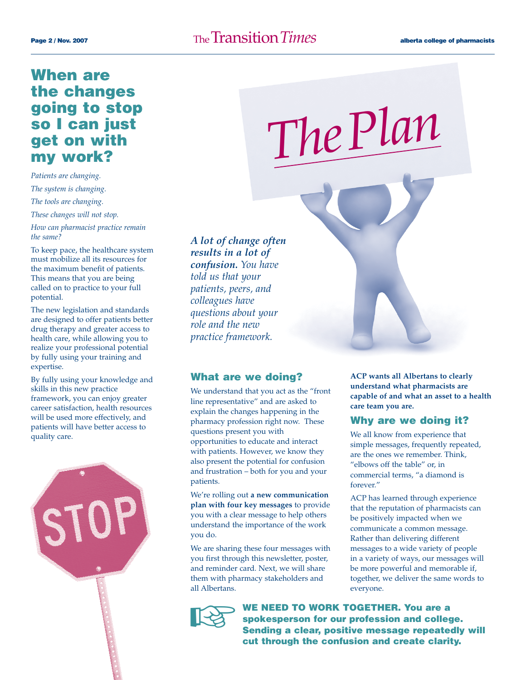### Page 2 / Nov. 2007 **The Transition**  $\overline{T}$  **Page 2** / Nov. 2007 **alberta college of pharmacists**

### **When are the changes going to stop so I can just get on with my work?**

*Patients are changing. The system is changing. The tools are changing. These changes will not stop.* 

*How can pharmacist practice remain the same?* 

To keep pace, the healthcare system must mobilize all its resources for the maximum benefit of patients. This means that you are being called on to practice to your full potential.

The new legislation and standards are designed to offer patients better drug therapy and greater access to health care, while allowing you to realize your professional potential by fully using your training and expertise.

By fully using your knowledge and skills in this new practice framework, you can enjoy greater career satisfaction, health resources will be used more effectively, and patients will have better access to quality care.



*A lot of change often results in a lot of confusion. You have told us that your patients, peers, and colleagues have questions about your role and the new practice framework.*

### **What are we doing?**

We understand that you act as the "front line representative" and are asked to explain the changes happening in the pharmacy profession right now. These questions present you with opportunities to educate and interact with patients. However, we know they also present the potential for confusion and frustration – both for you and your patients.

We're rolling out **a new communication plan with four key messages** to provide you with a clear message to help others understand the importance of the work you do.

We are sharing these four messages with you first through this newsletter, poster, and reminder card. Next, we will share them with pharmacy stakeholders and all Albertans.



**WE NEED TO WORK TOGETHER. You are a spokesperson for our profession and college. Sending a clear, positive message repeatedly will cut through the confusion and create clarity.** 

*ThePlan*

**ACP wants all Albertans to clearly understand what pharmacists are capable of and what an asset to a health care team you are.** 

### **Why are we doing it?**

We all know from experience that simple messages, frequently repeated, are the ones we remember. Think, "elbows off the table" or, in commercial terms, "a diamond is forever."

ACP has learned through experience that the reputation of pharmacists can be positively impacted when we communicate a common message. Rather than delivering different messages to a wide variety of people in a variety of ways, our messages will be more powerful and memorable if, together, we deliver the same words to everyone.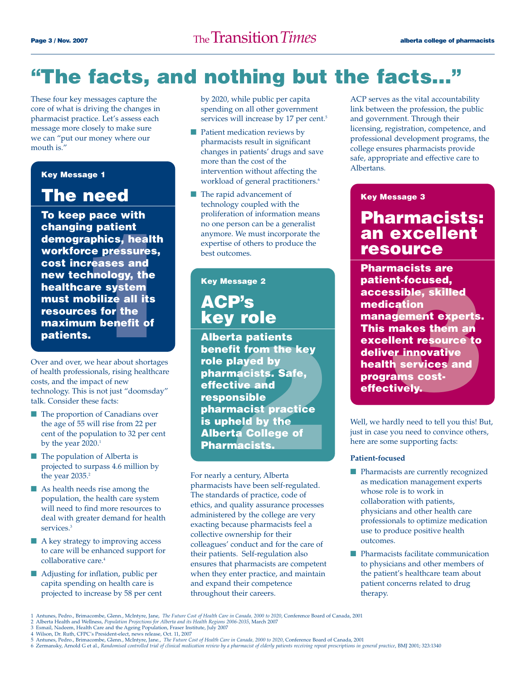### **"The facts, and nothing but the facts…"**

These four key messages capture the core of what is driving the changes in pharmacist practice. Let's assess each message more closely to make sure we can "put our money where our mouth is."

### **Key Message 1**

### **The need**

**ng patient<br>raphics, health<br>rce pressures,<br>creases and<br>chnology, the<br>care system<br>nobilize all its<br>ces for the<br>um benefit of<br>is.**<br>x, we hear about shortages **To keep pace with changing patient demographics, health workforce pressures, cost increases and new technology, the healthcare system must mobilize all its resources for the maximum benefit of patients.**

Over and over, we hear about shortages of health professionals, rising healthcare costs, and the impact of new technology. This is not just "doomsday" talk. Consider these facts:

- The proportion of Canadians over the age of 55 will rise from 22 per cent of the population to 32 per cent by the year 2020.<sup>1</sup>
- The population of Alberta is projected to surpass 4.6 million by the year 2035.<sup>2</sup>
- As health needs rise among the population, the health care system will need to find more resources to deal with greater demand for health services.<sup>3</sup>
- A key strategy to improving access to care will be enhanced support for collaborative care.<sup>4</sup>
- Adjusting for inflation, public per capita spending on health care is projected to increase by 58 per cent

by 2020, while public per capita spending on all other government services will increase by 17 per cent.<sup>5</sup>

- Patient medication reviews by pharmacists result in significant changes in patients' drugs and save more than the cost of the intervention without affecting the workload of general practitioners.<sup>6</sup>
- The rapid advancement of technology coupled with the proliferation of information means no one person can be a generalist anymore. We must incorporate the expertise of others to produce the best outcomes.

### **Key Message 2**

### **ACP's key role**

rta patients<br>fit from the key<br>played by<br>macists. Safe,<br>tive and<br>pnsible<br>macist practice<br>held by the<br>rta College of<br>macists. **Alberta patients benefit from the key role played by pharmacists. Safe, effective and responsible pharmacist practice is upheld by the Alberta College of Pharmacists.**

For nearly a century, Alberta pharmacists have been self-regulated. The standards of practice, code of ethics, and quality assurance processes administered by the college are very exacting because pharmacists feel a collective ownership for their colleagues' conduct and for the care of their patients. Self-regulation also ensures that pharmacists are competent when they enter practice, and maintain and expand their competence throughout their careers.

ACP serves as the vital accountability link between the profession, the public and government. Through their licensing, registration, competence, and professional development programs, the college ensures pharmacists provide safe, appropriate and effective care to Albertans.

#### **Key Message 3**

### **Pharmacists: an excellent resource**

nt-focused,<br>ssible, skilled<br>cation<br>ngement experts.<br>makes them an<br>llent resource to<br>er innovative<br>th services and<br>rams cost-<br>tively. **Pharmacists are patient-focused, accessible, skilled medication management experts. This makes them an excellent resource to deliver innovative health services and programs costeffectively.**

Well, we hardly need to tell you this! But, just in case you need to convince others, here are some supporting facts:

#### **Patient-focused**

- Pharmacists are currently recognized as medication management experts whose role is to work in collaboration with patients, physicians and other health care professionals to optimize medication use to produce positive health outcomes.
- Pharmacists facilitate communication to physicians and other members of the patient's healthcare team about patient concerns related to drug therapy.

<sup>1</sup> Antunes, Pedro., Brimacombe, Glenn., McIntyre, Jane, *The Future Cost of Health Care in Canada,* 2000 to 2020, Conference Board of Canada, 2001<br>2 Alberta Health and Wellness, *Population Projections for Alberta and its H* 

<sup>3</sup> Esmail, Nadeem, Health Care and the Ageing Population, Fraser Institute, July 2007

<sup>4</sup> Wilson, Dr. Ruth, CFPC's President-elect, news release, Oct. 11, 2007 5 Antunes, Pedro., Brimacombe, Glenn., McIntyre, Jane., *The Future Cost of Health Care in Canada, 2000 to 2020*, Conference Board of Canada, 2001

<sup>6</sup> Zermansky, Arnold G et al., *Randomised controlled trial of clinical medication review by a pharmacist of elderly patients receiving repeat prescriptions in general practice*, BMJ 2001; 323:1340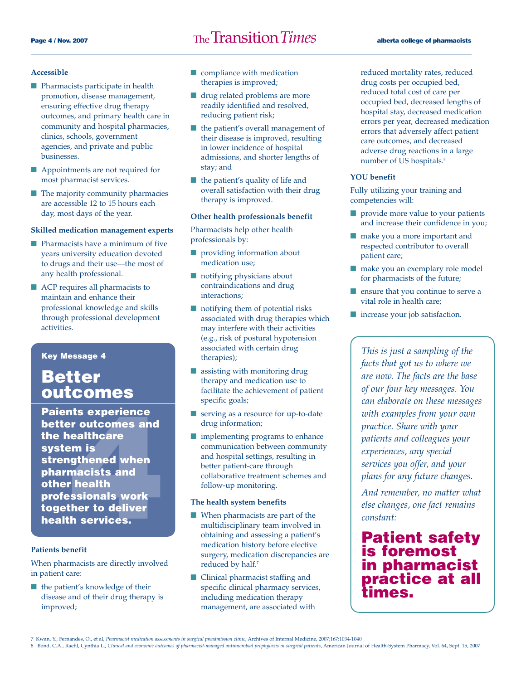#### **Accessible**

- Pharmacists participate in health promotion, disease management, ensuring effective drug therapy outcomes, and primary health care in community and hospital pharmacies, clinics, schools, government agencies, and private and public businesses.
- Appointments are not required for most pharmacist services.
- The majority community pharmacies are accessible 12 to 15 hours each day, most days of the year.

#### **Skilled medication management experts**

- Pharmacists have a minimum of five years university education devoted to drugs and their use—the most of any health professional.
- ACP requires all pharmacists to maintain and enhance their professional knowledge and skills through professional development activities.

**Key Message 4**

### **Better outcomes**

nts experience<br> **er outcomes and<br>
ealthcare<br>
em is<br>
gthened when<br>
macists and<br>
r health<br>
ssionals work<br>
ther to deliver<br>
h services. Paients experience better outcomes and the healthcare system is strengthened when pharmacists and other health professionals work together to deliver health services.** 

#### **Patients benefit**

When pharmacists are directly involved in patient care:

■ the patient's knowledge of their disease and of their drug therapy is improved;

- compliance with medication therapies is improved;
- drug related problems are more readily identified and resolved, reducing patient risk;
- the patient's overall management of their disease is improved, resulting in lower incidence of hospital admissions, and shorter lengths of stay; and
- the patient's quality of life and overall satisfaction with their drug therapy is improved.

#### **Other health professionals benefit**

Pharmacists help other health professionals by:

- providing information about medication use;
- notifying physicians about contraindications and drug interactions;
- notifying them of potential risks associated with drug therapies which may interfere with their activities (e.g., risk of postural hypotension associated with certain drug therapies);
- assisting with monitoring drug therapy and medication use to facilitate the achievement of patient specific goals;
- serving as a resource for up-to-date drug information;
- implementing programs to enhance communication between community and hospital settings, resulting in better patient-care through collaborative treatment schemes and follow-up monitoring.

#### **The health system benefits**

- When pharmacists are part of the multidisciplinary team involved in obtaining and assessing a patient's medication history before elective surgery, medication discrepancies are reduced by half.<sup>7</sup>
- Clinical pharmacist staffing and specific clinical pharmacy services, including medication therapy management, are associated with

reduced mortality rates, reduced drug costs per occupied bed, reduced total cost of care per occupied bed, decreased lengths of hospital stay, decreased medication errors per year, decreased medication errors that adversely affect patient care outcomes, and decreased adverse drug reactions in a large number of US hospitals.<sup>8</sup>

#### **YOU benefit**

Fully utilizing your training and competencies will:

- provide more value to your patients and increase their confidence in you;
- make you a more important and respected contributor to overall patient care;
- make you an exemplary role model for pharmacists of the future;
- ensure that you continue to serve a vital role in health care;
- increase your job satisfaction.

*This is just a sampling of the facts that got us to where we are now. The facts are the base of our four key messages. You can elaborate on these messages with examples from your own practice. Share with your patients and colleagues your experiences, any special services you offer, and your plans for any future changes.*

*And remember, no matter what else changes, one fact remains constant:* 

### **Patient safety is foremost in pharmacist practice at all times.**

7 Kwan, Y., Fernandes, O., et al, *Pharmacist medication assessments in surgical preadmission clinic*, Archives of Internal Medicine, 2007;167:1034-1040

8 Bond, C.A., Raehl, Cynthia L., Clinical and economic outcomes of pharmacist-managed antimicrobial prophylaxis in surgical patients, American Journal of Health-System Pharmacy, Vol. 64, Sept. 15, 2007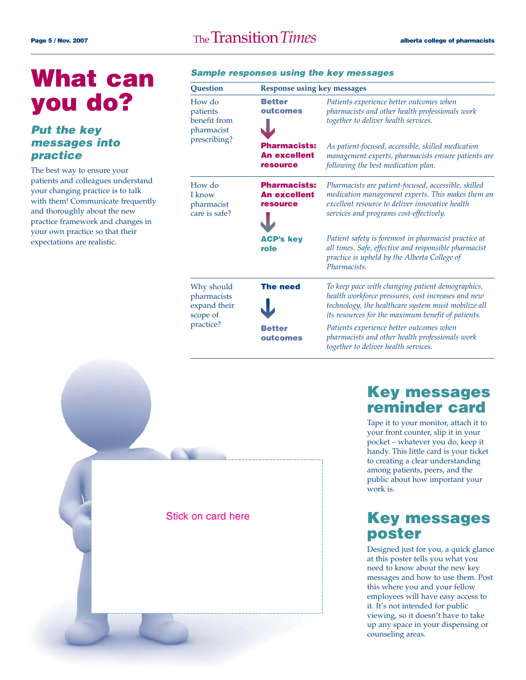## **What can you do?**

### **Put the key messages into practice**

The best way to ensure your patients and colleagues understand your changing practice is to talk with them! Communicate frequently and thoroughly about the new practice framework and changes in your own practice so that their expectations are realistic.

### **Sample responses using the key messages**

| Question                                                           | <b>Response using key messages</b>                            |                                                                                                                                                                                                                     |
|--------------------------------------------------------------------|---------------------------------------------------------------|---------------------------------------------------------------------------------------------------------------------------------------------------------------------------------------------------------------------|
| How do<br>patients<br>benefit from<br>pharmacist<br>prescribing?   | <b>Better</b><br>outcomes                                     | Patients experience better outcomes when<br>pharmacists and other health professionals work<br>together to deliver health services.                                                                                 |
|                                                                    | <b>Pharmacists:</b><br><b>An excellent</b><br><b>resource</b> | As patient-focused, accessible, skilled medication<br>management experts, pharmacists ensure patients are<br>following the best medication plan.                                                                    |
| How do<br>I know<br>pharmacist<br>care is safe?                    | <b>Pharmacists:</b><br><b>An excellent</b><br><b>resource</b> | Pharmacists are patient-focused, accessible, skilled<br>medication management experts. This makes them an<br>excellent resource to deliver innovative health<br>services and programs cost-effectively.             |
|                                                                    | <b>ACP's key</b><br>role                                      | Patient safety is foremost in pharmacist practice at<br>all times. Safe, effective and responsible pharmacist<br>practice is upheld by the Alberta College of<br>Pharmacists.                                       |
| Why should<br>pharmacists<br>expand their<br>scope of<br>practice? | <b>The need</b>                                               | To keep pace with changing patient demographics,<br>health workforce pressures, cost increases and new<br>technology, the healthcare system must mobilize all<br>its resources for the maximum benefit of patients. |
|                                                                    | <b>Better</b><br>outcomes                                     | Patients experience better outcomes when<br>pharmacists and other health professionals work<br>together to deliver health services.                                                                                 |



### **Key messages reminder card**

Tape it to your monitor, attach it to your front counter, slip it in your pocket – whatever you do, keep it handy. This little card is your ticket to creating a clear understanding among patients, peers, and the public about how important your work is.

### **Key messages poster**

Designed just for you, a quick glance at this poster tells you what you need to know about the new key messages and how to use them. Post this where you and your fellow employees will have easy access to it. It's not intended for public viewing, so it doesn't have to take up any space in your dispensing or counseling areas.